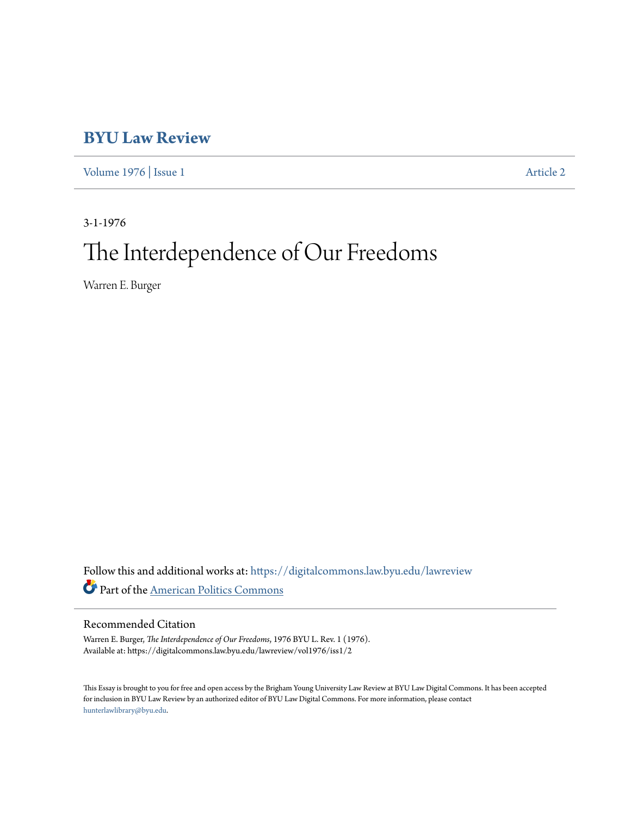# **[BYU Law Review](https://digitalcommons.law.byu.edu/lawreview?utm_source=digitalcommons.law.byu.edu%2Flawreview%2Fvol1976%2Fiss1%2F2&utm_medium=PDF&utm_campaign=PDFCoverPages)**

[Volume 1976](https://digitalcommons.law.byu.edu/lawreview/vol1976?utm_source=digitalcommons.law.byu.edu%2Flawreview%2Fvol1976%2Fiss1%2F2&utm_medium=PDF&utm_campaign=PDFCoverPages) | [Issue 1](https://digitalcommons.law.byu.edu/lawreview/vol1976/iss1?utm_source=digitalcommons.law.byu.edu%2Flawreview%2Fvol1976%2Fiss1%2F2&utm_medium=PDF&utm_campaign=PDFCoverPages) [Article 2](https://digitalcommons.law.byu.edu/lawreview/vol1976/iss1/2?utm_source=digitalcommons.law.byu.edu%2Flawreview%2Fvol1976%2Fiss1%2F2&utm_medium=PDF&utm_campaign=PDFCoverPages)

3-1-1976 The Interdependence of Our Freedoms

Warren E. Burger

Follow this and additional works at: [https://digitalcommons.law.byu.edu/lawreview](https://digitalcommons.law.byu.edu/lawreview?utm_source=digitalcommons.law.byu.edu%2Flawreview%2Fvol1976%2Fiss1%2F2&utm_medium=PDF&utm_campaign=PDFCoverPages) Part of the [American Politics Commons](http://network.bepress.com/hgg/discipline/387?utm_source=digitalcommons.law.byu.edu%2Flawreview%2Fvol1976%2Fiss1%2F2&utm_medium=PDF&utm_campaign=PDFCoverPages)

### Recommended Citation

Warren E. Burger, *The Interdependence of Our Freedoms*, 1976 BYU L. Rev. 1 (1976). Available at: https://digitalcommons.law.byu.edu/lawreview/vol1976/iss1/2

This Essay is brought to you for free and open access by the Brigham Young University Law Review at BYU Law Digital Commons. It has been accepted for inclusion in BYU Law Review by an authorized editor of BYU Law Digital Commons. For more information, please contact [hunterlawlibrary@byu.edu.](mailto:hunterlawlibrary@byu.edu)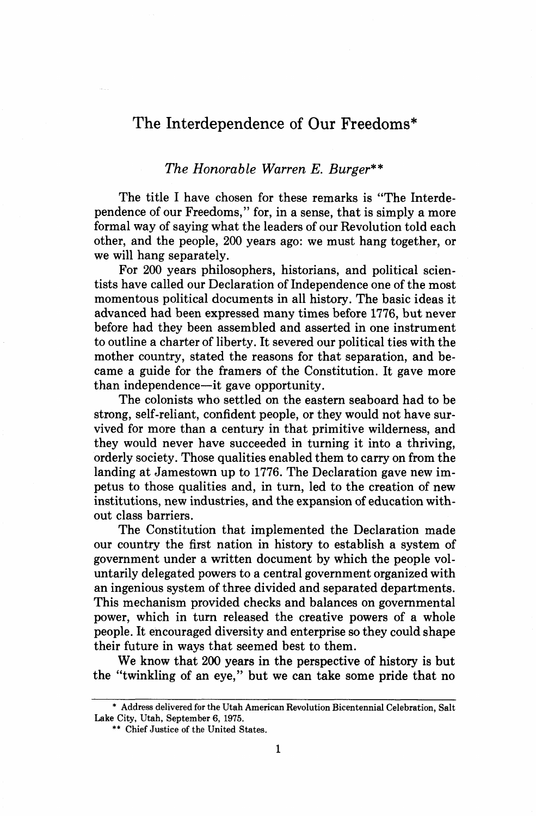## The Interdependence of Our Freedoms\*

### *The Honorable Warren E. Burger\*\**

The title I have chosen for these remarks is "The Interdependence of our Freedoms," for, in a sense, that is simply a more formal way of saying what the leaders of our Revolution told each other, and the people, **200** years ago: we must hang together, or we will hang separately.

For **200** years philosophers, historians, and political scientists have called our Declaration of Independence one of the most momentous political documents in all history. The basic ideas it advanced had been expressed many times before 1776, but never before had they been assembled and asserted in one instrument to outline a charter of liberty. It severed our political ties with the mother country, stated the reasons for that separation, and became a guide for the framers of the Constitution. It gave more than independence-it gave opportunity.

The colonists who settled on the eastern seaboard had to be strong, self-reliant, confident people, or they would not have survived for more than a century in that primitive wilderness, and they would never have succeeded in turning it into a thriving, orderly society. Those qualities enabled them to carry on from the landing at Jamestown up to 1776. The Declaration gave new impetus to those qualities and, in turn, led to the creation of new institutions, new industries, and the expansion of education without class barriers.

The Constitution that implemented the Declaration made our country the first nation in history to establish a system of government under a written document by which the people voluntarily delegated powers to a central government organized with an ingenious system of three divided and separated departments. This mechanism provided checks and balances on governmental power, which in turn released the creative powers of a whole people. It encouraged diversity and enterprise so they could shape their future in ways that seemed best to them.

We know that 200 years in the perspective of history is but the "twinkling of an eye," but we can take some pride that no

<sup>\*</sup> **Address delivered for the Utah American Revolution Bicentennial Celebration, Salt Lake City, Utah, September 6, 1975.** 

<sup>\*\*</sup> **Chief Justice of the United States.**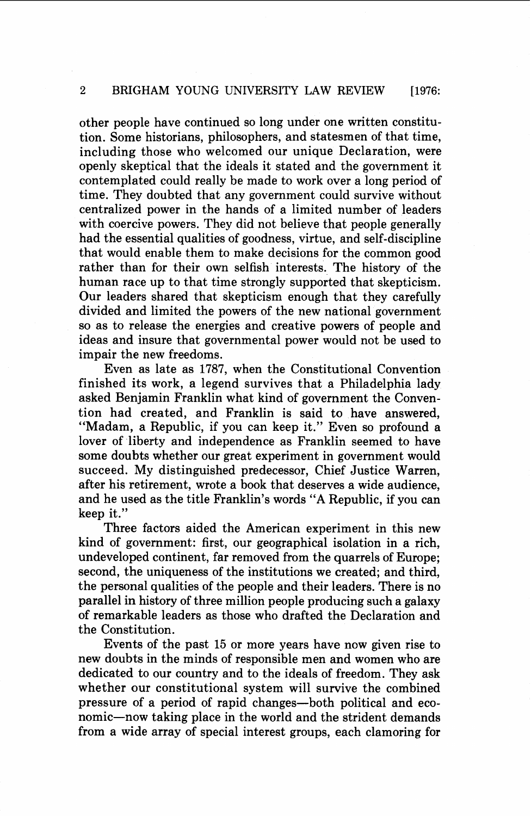other people have continued so long under one written constitution. Some historians, philosophers, and statesmen of that time, including those who welcomed our unique Declaration, were openly skeptical that the ideals it stated and the government it contemplated could really be made to work over a long period of time. They doubted that any government could survive without centralized power in the hands of a limited number of leaders with coercive powers. They did not believe that people generally had the essential qualities of goodness, virtue, and self-discipline that would enable them to make decisions for the common good rather than for their own selfish interests. The history of the human race up to that time strongly supported that skepticism. Our leaders shared that skepticism enough that they carefully divided and limited the powers of the new national government so as to release the energies and creative powers of people and ideas and insure that governmental power would not be used to impair the new freedoms.

Even as late as 1787, when the Constitutional Convention finished its work, a legend survives that a Philadelphia lady asked Benjamin Franklin what kind of government the Convention had created, and Franklin is said to have answered, "Madam, a Republic, if you can keep it." Even so profound a lover of liberty and independence as Franklin seemed to have some doubts whether our great experiment in government would succeed. My distinguished predecessor, Chief Justice Warren, after his retirement, wrote a book that deserves a wide audience, and he used as the title Franklin's words "A Republic, if you can keep it."

Three factors aided the American experiment in this new kind of government: first, our geographical isolation in a rich, undeveloped continent, far removed from the quarrels of Europe; second, the uniqueness of the institutions we created; and third, the personal qualities of the people and their leaders. There is no parallel in history of three million people producing such a galaxy of remarkable leaders as those who drafted the Declaration and the Constitution.

Events of the past 15 or more years have now given rise to new doubts in the minds of responsible men and women who are dedicated to our country and to the ideals of freedom. They ask whether our constitutional system will survive the combined pressure of a period of rapid changes-both political and economic-now taking place in the world and the strident demands from a wide array of special interest groups, each clamoring for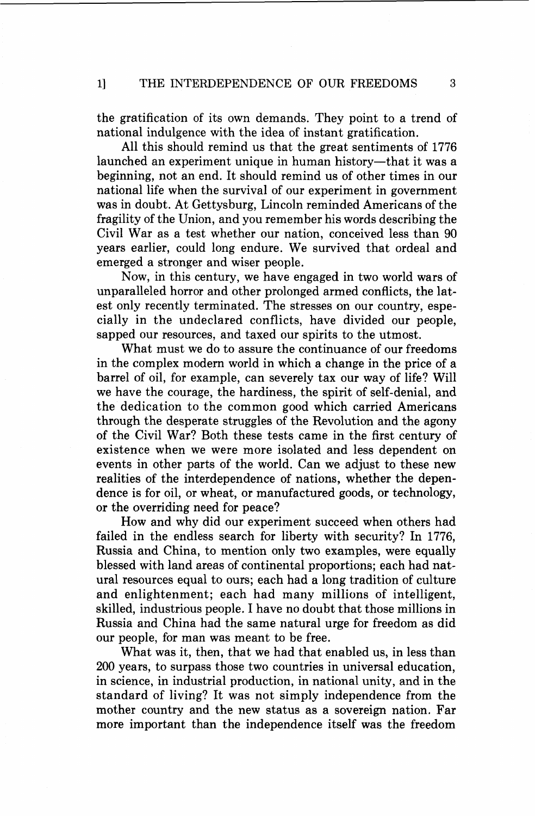the gratification of its own demands. They point to a trend of national indulgence with the idea of instant gratification.

All this should remind us that the great sentiments of 1776 launched an experiment unique in human history-that it was a beginning, not an end. It should remind us of other times in our national life when the survival of our experiment in government was in doubt. At Gettysburg, Lincoln reminded Americans of the fragility of the Union, and you remember his words describing the Civil War as a test whether our nation, conceived less than 90 years earlier, could long endure. We survived that ordeal and emerged a stronger and wiser people.

Now, in this century, we have engaged in two world wars of unparalleled horror and other prolonged armed conflicts, the latest only recently terminated. The stresses on our country, especially in the undeclared conflicts, have divided our people, sapped our resources, and taxed our spirits to the utmost.

What must we do to assure the continuance of our freedoms in the complex modern world in which a change in the price of a barrel of oil, for example, can severely tax our way of life? Will we have the courage, the hardiness, the spirit of self-denial, and the dedication to the common good which carried Americans through the desperate struggles of the Revolution and the agony of the Civil War? Both these tests came in the first century of existence when we were more isolated and less dependent on events in other parts of the world. Can we adjust to these new realities of the interdependence of nations, whether the dependence is for oil, or wheat, or manufactured goods, or technology, or the overriding need for peace?

How and why did our experiment succeed when others had failed in the endless search for liberty with security? In 1776, Russia and China, to mention only two examples, were equally blessed with land areas of continental proportions; each had natural resources equal to ours; each had a long tradition of culture and enlightenment; each had many millions of intelligent, skilled, industrious people. I have no doubt that those millions in Russia and China had the same natural urge for freedom as did our people, for man was meant to be free.

What was it, then, that we had that enabled us, in less than 200 years, to surpass those two countries in universal education, in science, in industrial production, in national unity, and in the standard of living? It was not simply independence from the mother country and the new status as a sovereign nation. Far more important than the independence itself was the freedom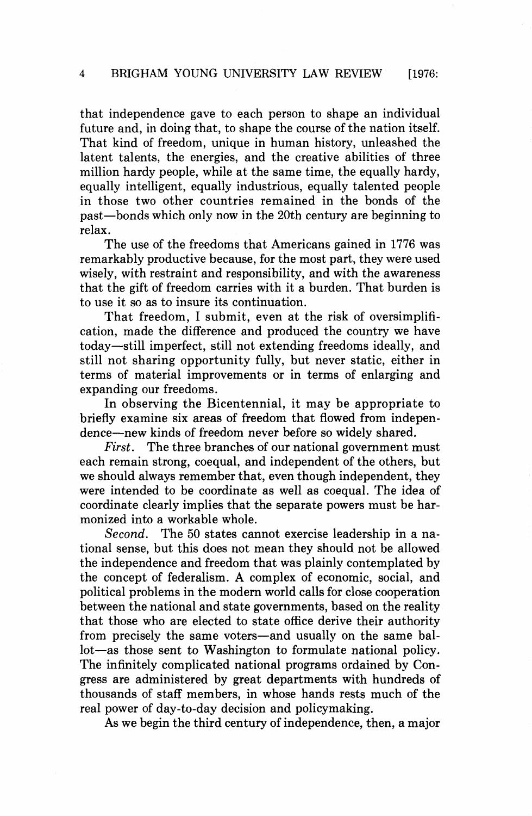that independence gave to each person to shape an individual future and, in doing that, to shape the course of the nation itself. That kind of freedom, unique in human history, unleashed the latent talents, the energies, and the creative abilities of three million hardy people, while at the same time, the equally hardy, equally intelligent, equally industrious, equally talented people in those two other countries remained in the bonds of the past-bonds which only now in the 20th century are beginning to relax.

The use of the freedoms that Americans gained in 1776 was remarkably productive because, for the most part, they were used wisely, with restraint and responsibility, and with the awareness that the gift of freedom carries with it a burden. That burden is to use it so as to insure its continuation.

That freedom, I submit, even at the risk of oversimplification, made the difference and produced the country we have today-still imperfect, still not extending freedoms ideally, and still not sharing opportunity fully, but never static, either in terms of material improvements or in terms of enlarging and expanding our freedoms.

In observing the Bicentennial, it may be appropriate to briefly examine six areas of freedom that flowed from independence-new kinds of freedom never before so widely shared.

**First.** The three branches of our national government must each remain strong, coequal, and independent of the others, but we should always remember that, even though independent, they were intended to be coordinate as well as coequal. The idea of coordinate clearly implies that the separate powers must be harmonized into a workable whole.

Second. The 50 states cannot exercise leadership in a national sense, but this does not mean they should not be allowed the independence and freedom that was plainly contemplated by the concept of federalism. **A** complex of economic, social, and political problems in the modern world calls for close cooperation between the national and state governments, based on the reality that those who are elected to state office derive their authority from precisely the same voters—and usually on the same ballot-as those sent to Washington to formulate national policy. The infinitely complicated national programs ordained by Congress are administered by great departments with hundreds of thousands of staff members, in whose hands rests much of the real power of day-to-day decision and policymaking.

As we begin the third century of independence, then, a major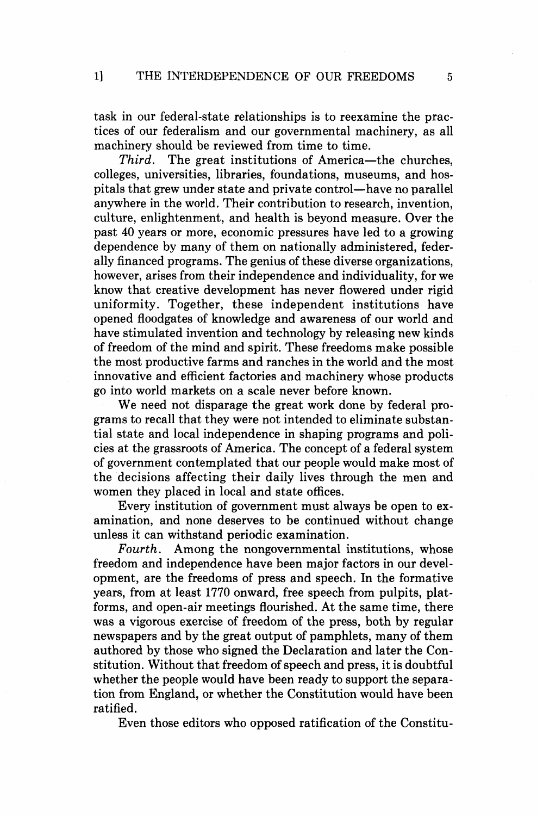task in our federal-state relationships is to reexamine the practices of our federalism and our governmental machinery, as all machinery should be reviewed from time to time.<br>Third. The great institutions of America-

The great institutions of America-the churches, colleges, universities, libraries, foundations, museums, and hospitals that grew under state and private control—have no parallel anywhere in the world. Their contribution to research, invention, culture, enlightenment, and health is beyond measure. Over the past 40 years or more, economic pressures have led to a growing dependence by many of them on nationally administered, federally financed programs. The genius of these diverse organizations, however, arises from their independence and individuality, for we know that creative development has never flowered under rigid uniformity. Together, these independent institutions have opened floodgates of knowledge and awareness of our world and have stimulated invention and technology by releasing new kinds of freedom of the mind and spirit. These freedoms make possible the most productive farms and ranches in the world and the most innovative and efficient factories and machinery whose products go into world markets on a scale never before known.

We need not disparage the great work done by federal programs to recall that they were not intended to eliminate substantial state and local independence in shaping programs and policies at the grassroots of America. The concept of a federal system of government contemplated that our people would make most of the decisions affecting their daily lives through the men and women they placed in local and state offices.

Every institution of government must always be open to examination, and none deserves to be continued without change unless it can withstand periodic examination.

Fourth. Among the nongovernmental institutions, whose freedom and independence have been major factors in our development, are the freedoms of press and speech. In the formative years, from at least 1770 onward, free speech from pulpits, platforms, and open-air meetings flourished. At the same time, there was a vigorous exercise of freedom of the press, both by regular newspapers and by the great output of pamphlets, many of them authored by those who signed the Declaration and later the Constitution. Without that freedom of speech and press, it is doubtful whether the people would have been ready to support the separation from England, or whether the Constitution would have been ratified.

Even those editors who opposed ratification of the Constitu-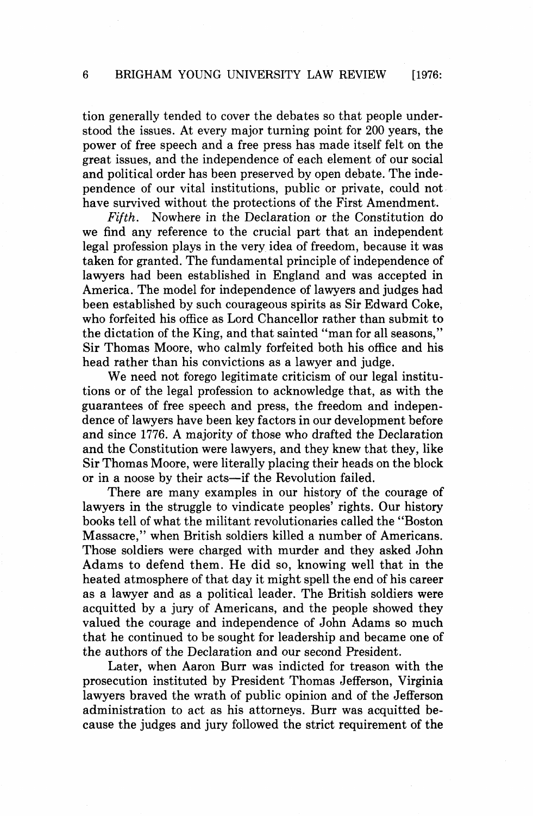tion generally tended to cover the debates so that people understood the issues. At every major turning point for 200 years, the power of free speech and a free press has made itself felt on the great issues, and the independence of each element of our social and political order has been preserved by open debate. The independence of our vital institutions, public or private, could not have survived without the protections of the First Amendment.

Fifth. Nowhere in the Declaration or the Constitution do we find any reference to the crucial part that an independent legal profession plays in the very idea of freedom, because it was taken for granted. The fundamental principle of independence of lawyers had been established in England and was accepted in America. The model for independence of lawyers and judges had been established by such courageous spirits as Sir Edward Coke, who forfeited his office as Lord Chancellor rather than submit to the dictation of the King, and that sainted "man for all seasons," Sir Thomas Moore, who calmly forfeited both his office and his head rather than his convictions as a lawyer and judge.

We need not forego legitimate criticism of our legal institutions or of the legal profession to acknowledge that, as with the guarantees of free speech and press, the freedom and independence of lawyers have been key factors in our development before and since 1776. **A** majority of those who drafted the Declaration and the Constitution were lawyers, and they knew that they, like Sir Thomas Moore, were literally placing their heads on the block or in a noose by their acts—if the Revolution failed.

There are many examples in our history of the courage of lawyers in the struggle to vindicate peoples' rights. Our history books tell of what the militant revolutionaries called the "Boston Massacre," when British soldiers killed a number of Americans. Those soldiers were charged with murder and they asked John Adams to defend them. He did so, knowing well that in the heated atmosphere of that day it might spell the end of his career as a lawyer and as a political leader. The British soldiers were acquitted by a jury of Americans, and the people showed they valued the courage and independence of John Adams so much that he continued to be sought for leadership and became one of the authors of the Declaration and our second President.

Later, when Aaron Burr was indicted for treason with the prosecution instituted by President Thomas Jefferson, Virginia lawyers braved the wrath of public opinion and of the Jefferson administration to act as his attorneys. Burr was acquitted because the judges and jury followed the strict requirement of the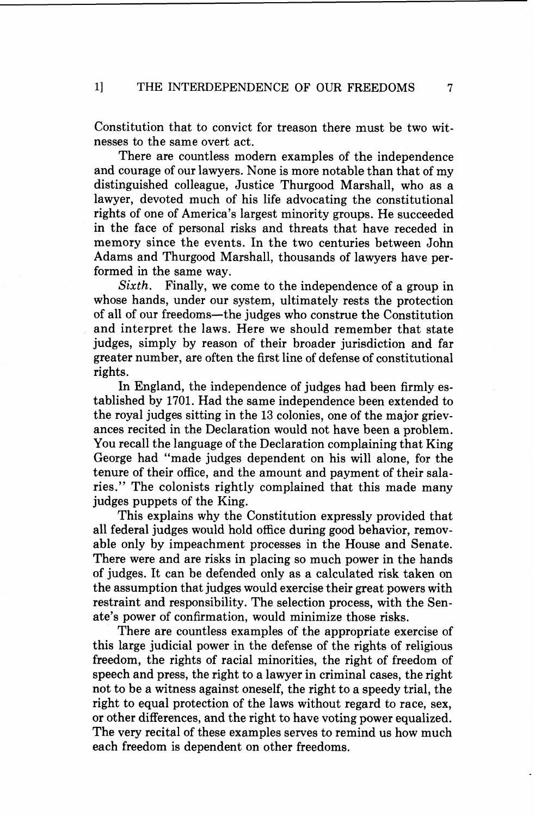Constitution that to convict for treason there must be two witnesses to the same overt act.

There are countless modern examples of the independence and courage of our lawyers. None is more notable than that of my distinguished colleague, Justice Thurgood Marshall, who as a lawyer, devoted much of his life advocating the constitutional rights of one of America's largest minority groups. He succeeded in the face of personal risks and threats that have receded in memory since the events. In the two centuries between John Adams and Thurgood Marshall, thousands of lawyers have performed in the same way.

*Sixth.* Finally, we come to the independence of a group in whose hands, under our system, ultimately rests the protection of all of our freedoms-the judges who construe the Constitution and interpret the laws. Here we should remember that state judges, simply by reason of their broader jurisdiction and far greater number, are often the first line of defense of constitutional rights.

In England, the independence of judges had been firmly established by 1701. Had the same independence been extended to the royal judges sitting in the 13 colonies, one of the major grievances recited in the Declaration would not have been a problem. You recall the language of the Declaration complaining that King George had "made judges dependent on his will alone, for the tenure of their office, and the amount and payment of their salaries." The colonists rightly complained that this made many judges puppets of the King.

This explains why the Constitution expressly provided that all federal judges would hold office during good behavior, removable only by impeachment processes in the House and Senate. There were and are risks in placing so much power in the hands of judges. It can be defended only as a calculated risk taken on the assumption that judges would exercise their great powers with restraint and responsibility. The selection process, with the Senate's power of confirmation, would minimize those risks.

There are countless examples of the appropriate exercise of this large judicial power in the defense of the rights of religious freedom, the rights of racial minorities, the right of freedom of speech and press, the right to a lawyer in criminal cases, the right not to be a witness against oneself, the right to a speedy trial, the right to equal protection of the laws without regard to race, sex, or other differences, and the right to have voting power equalized. The very recital of these examples serves to remind us how much each freedom is dependent on other freedoms.